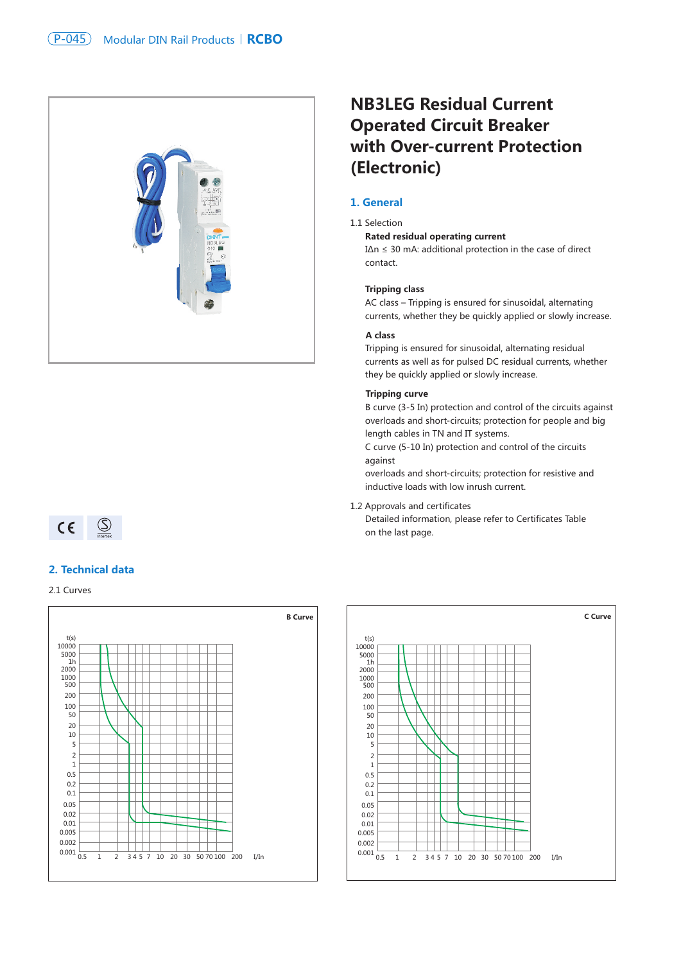

# **NB3LEG Residual Current Operated Circuit Breaker with Over-current Protection (Electronic)**

# **1. General**

#### 1.1 Selection

**Rated residual operating current**

I∆n ≤ 30 mA: additional protection in the case of direct contact.

#### **Tripping class**

AC class – Tripping is ensured for sinusoidal, alternating currents, whether they be quickly applied or slowly increase.

#### **A class**

Tripping is ensured for sinusoidal, alternating residual currents as well as for pulsed DC residual currents, whether they be quickly applied or slowly increase.

#### **Tripping curve**

B curve (3-5 In) protection and control of the circuits against overloads and short-circuits; protection for people and big length cables in TN and IT systems.

C curve (5-10 In) protection and control of the circuits against

overloads and short-circuits; protection for resistive and inductive loads with low inrush current.

1.2 Approvals and certificates

Detailed information, please refer to Certificates Table on the last page.

# $CE \quad \circledcirc$

### **2. Technical data**

2.1 Curves